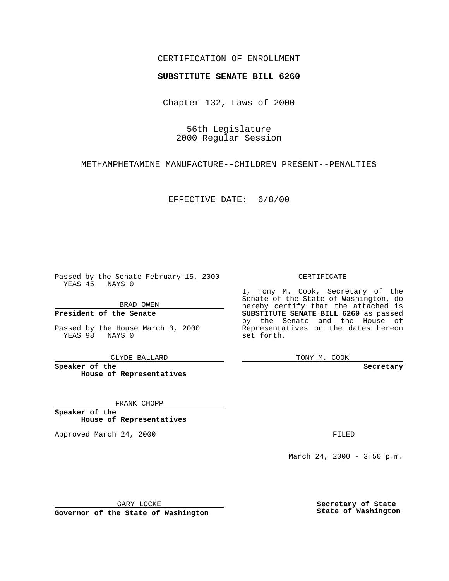### CERTIFICATION OF ENROLLMENT

# **SUBSTITUTE SENATE BILL 6260**

Chapter 132, Laws of 2000

56th Legislature 2000 Regular Session

METHAMPHETAMINE MANUFACTURE--CHILDREN PRESENT--PENALTIES

EFFECTIVE DATE: 6/8/00

Passed by the Senate February 15, 2000 YEAS 45 NAYS 0

BRAD OWEN

**President of the Senate**

Passed by the House March 3, 2000 YEAS 98 NAYS 0

CLYDE BALLARD

**Speaker of the House of Representatives**

FRANK CHOPP

**Speaker of the House of Representatives**

Approved March 24, 2000 FILED

### CERTIFICATE

I, Tony M. Cook, Secretary of the Senate of the State of Washington, do hereby certify that the attached is **SUBSTITUTE SENATE BILL 6260** as passed by the Senate and the House of Representatives on the dates hereon set forth.

TONY M. COOK

**Secretary**

March 24, 2000 - 3:50 p.m.

GARY LOCKE

**Governor of the State of Washington**

**Secretary of State State of Washington**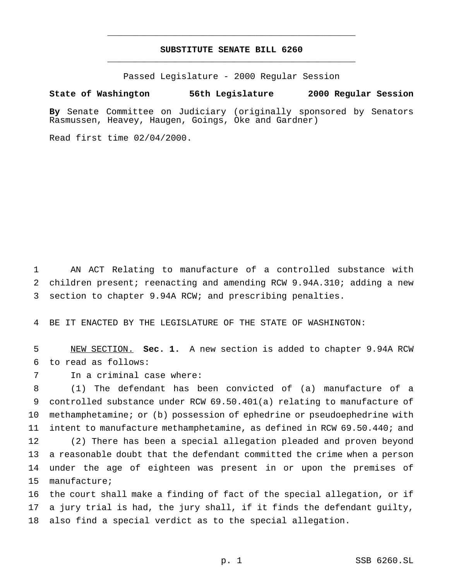## **SUBSTITUTE SENATE BILL 6260** \_\_\_\_\_\_\_\_\_\_\_\_\_\_\_\_\_\_\_\_\_\_\_\_\_\_\_\_\_\_\_\_\_\_\_\_\_\_\_\_\_\_\_\_\_\_\_

\_\_\_\_\_\_\_\_\_\_\_\_\_\_\_\_\_\_\_\_\_\_\_\_\_\_\_\_\_\_\_\_\_\_\_\_\_\_\_\_\_\_\_\_\_\_\_

Passed Legislature - 2000 Regular Session

#### **State of Washington 56th Legislature 2000 Regular Session**

**By** Senate Committee on Judiciary (originally sponsored by Senators Rasmussen, Heavey, Haugen, Goings, Oke and Gardner)

Read first time 02/04/2000.

 AN ACT Relating to manufacture of a controlled substance with children present; reenacting and amending RCW 9.94A.310; adding a new section to chapter 9.94A RCW; and prescribing penalties.

BE IT ENACTED BY THE LEGISLATURE OF THE STATE OF WASHINGTON:

 NEW SECTION. **Sec. 1.** A new section is added to chapter 9.94A RCW to read as follows:

manufacture;

In a criminal case where:

 (1) The defendant has been convicted of (a) manufacture of a controlled substance under RCW 69.50.401(a) relating to manufacture of methamphetamine; or (b) possession of ephedrine or pseudoephedrine with intent to manufacture methamphetamine, as defined in RCW 69.50.440; and (2) There has been a special allegation pleaded and proven beyond a reasonable doubt that the defendant committed the crime when a person under the age of eighteen was present in or upon the premises of

 the court shall make a finding of fact of the special allegation, or if a jury trial is had, the jury shall, if it finds the defendant guilty, also find a special verdict as to the special allegation.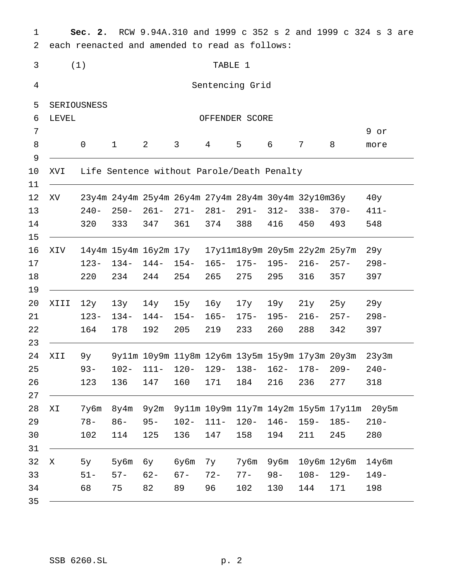Sec. 2. RCW 9.94A.310 and 1999 c 352 s 2 and 1999 c 324 s 3 are  $\mathbf{1}$  $\overline{a}$ each reenacted and amended to read as follows:  $\mathfrak{Z}$  $(1)$ TABLE 1  $\overline{4}$ Sentencing Grid  $\mathsf S$ SERIOUSNESS  $6\overline{6}$ LEVEL OFFENDER SCORE  $\overline{7}$ 9 or  $\,8\,$  $\mathsf{O}$  $\mathbf{1}$  $\overline{2}$  $\mathfrak{Z}$  $\overline{4}$ 5 6  $\overline{7}$ 8 more  $\mathsf 9$ Life Sentence without Parole/Death Penalty  $10$ XVI  $11$ 12 23y4m 24y4m 25y4m 26y4m 27y4m 28y4m 30y4m 32y10m36y XV  $40y$  $281 13$  $240 250 261 271 291 312 338 370 411 -$ 14 320 333 347 361 374 388 416 450 493 548  $15$ 16 **XIV** 14y4m 15y4m 16y2m 17y 17y11m18y9m 20y5m 22y2m 25y7m  $29y$ 17  $144 154 165 175 195 216 257 298 123 134-$ 18 220 234 244 254 265 275 295 316 357 397 19 20  $15y$ XIII  $12y$  $13y$  $14y$  $16y$  $17y$  $19y$  $21y$  $25y$  $29y$ 21  $123 134 144 154 165 175 195 216 257 298 -$ 22 164 178 192 205 219 233 260 288 342 397 23 9y11m 10y9m 11y8m 12y6m 13y5m 15y9m 17y3m 20y3m 24 XII  $9y$  $23y3m$ 25  $93 102 111 120 129 138 162 178 240 209 -$ 26 123 136 147 160 171 184 216 236 277 318 27 28 9y2m 9y11m 10y9m 11y7m 14y2m 15y5m 17y11m 20y5m  $7y6m$   $8y4m$ ΧI  $78 120 -$ 29  $86 95 102 111 146 159 185 210 -$ 30 102 114 125 136 147 158 194 211 245 280  $31$  $32<sup>2</sup>$  $\mathbf X$  $5y$  $5y6m$ бу бу6m  $7y$ 7y6m 9y6m 10y6m 12y6m  $14y6m$  $77 129 -$ 33  $51 57 62 67 72 98 108 149 -$ 34 68 75 82 171 89 96 102 130 144 198 35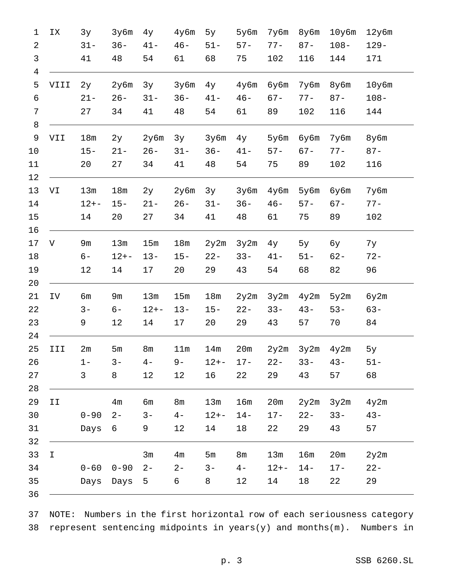| 1                   | ΙX          | 3y       | 3y6m            | 4y             | $4y$ 6m        | 5y       | 5у6m           | 7y6m     | 8у6m   | $10y$ 6m | $12y$ 6m |
|---------------------|-------------|----------|-----------------|----------------|----------------|----------|----------------|----------|--------|----------|----------|
| 2                   |             | $31 -$   | $36 -$          | $41 -$         | $46 -$         | $51 -$   | $57 -$         | $77 -$   | $87 -$ | $108 -$  | $129 -$  |
| 3<br>$\overline{4}$ |             | 41       | 48              | 54             | 61             | 68       | 75             | 102      | 116    | 144      | 171      |
| 5                   | VIII        | 2у       | 2y6m            | 3y             | 3y6m           | $4$ y    | 4y6m           | бубm     | 7y6m   | 8у6m     | $10y$ 6m |
| 6                   |             | $21 -$   | $26 -$          | $31 -$         | $36 -$         | $41 -$   | $46 -$         | $67 -$   | $77 -$ | $87 -$   | $108 -$  |
| 7                   |             | 27       | 34              | 41             | 48             | 54       | 61             | 89       | 102    | 116      | 144      |
| 8                   |             |          |                 |                |                |          |                |          |        |          |          |
| 9                   | VII         | 18m      | 2у              | 2y6m           | 3y             | 3y6m     | $4$ y          | 5у6m     | бубm   | 7y6m     | 8у6m     |
| 10                  |             | $15 -$   | $21 -$          | $26 -$         | $31 -$         | $36 -$   | $41 -$         | $57 -$   | $67 -$ | $77 -$   | $87 -$   |
| 11                  |             | 20       | 27              | 34             | 41             | 48       | 54             | 75       | 89     | 102      | 116      |
| 12                  |             |          |                 |                |                |          |                |          |        |          |          |
| 13                  | VI          | 13m      | 18 <sub>m</sub> | 2у             | 2y6m           | 3y       | 3y6m           | 4у6m     | 5у6m   | бубm     | 7y6m     |
| 14                  |             | $12 + -$ | $15 -$          | $21 -$         | $26 -$         | $31 -$   | $36 -$         | $46 -$   | $57 -$ | $67 -$   | $77 -$   |
| 15                  |             | 14       | 20              | 27             | 34             | 41       | 48             | 61       | 75     | 89       | 102      |
| 16                  |             |          |                 |                |                |          |                |          |        |          |          |
| 17                  | V           | 9m       | 13m             | 15m            | 18m            | 2y2m     | 3y2m           | $4$ y    | 5y     | бу       | 7у       |
| 18                  |             | $6-$     | $12 + -$        | $13 -$         | $15 -$         | $22 -$   | $33 -$         | $41 -$   | $51 -$ | $62 -$   | $72 -$   |
| 19                  |             | 12       | 14              | 17             | 20             | 29       | 43             | 54       | 68     | 82       | 96       |
| 20<br>21            | IV          | бm       | 9m              | 13m            | 15m            | 18m      | 2y2m           | 3y2m     | 4y2m   | 5y2m     | 6y2m     |
| 22                  |             | $3-$     | $6-$            | $12 + -$       | $13 -$         | $15 -$   | $22 -$         | $33 -$   | $43 -$ | $53 -$   | $63 -$   |
| 23                  |             | 9        | 12              | 14             | 17             | 20       | 29             | 43       | 57     | 70       | 84       |
| 24                  |             |          |                 |                |                |          |                |          |        |          |          |
| 25                  | III         | 2m       | 5m              | 8 <sub>m</sub> | 11m            | 14m      | 20m            | 2y2m     | 3y2m   | 4y2m     | 5y       |
| 26                  |             | $1 -$    | $3 -$           | $4-$           | $9-$           | $12 + -$ | $17 -$         | $22 -$   | $33 -$ | $43 -$   | $51 -$   |
| 27                  |             | 3        | 8               | 12             | 12             | 16       | 22             | 29       | 43     | 57       | 68       |
| 28                  |             |          |                 |                |                |          |                |          |        |          |          |
| 29                  | II          |          | 4 <sub>m</sub>  | бm             | 8 <sub>m</sub> | 13m      | 16m            | 20m      | 2y2m   | 3y2m     | 4y2m     |
| 30                  |             | $0 - 90$ | $2 -$           | $3 -$          | $4-$           | $12 + -$ | $14 -$         | $17 -$   | $22 -$ | $33 -$   | $43 -$   |
| 31                  |             | Days     | 6               | 9              | 12             | 14       | 18             | 22       | 29     | 43       | 57       |
| 32<br>33            | $\mathbf I$ |          |                 | 3m             | 4 <sub>m</sub> | 5m       | 8 <sub>m</sub> | 13m      | 16m    | 20m      | 2y2m     |
| 34                  |             | $0 - 60$ | $0 - 90$        | $2 -$          | $2 -$          | $3 -$    | $4-$           | $12 + -$ | $14 -$ | $17 -$   | $22 -$   |
| 35                  |             | Days     | Days            | 5              | 6              | 8        | 12             | 14       | 18     | 22       | 29       |
| 36                  |             |          |                 |                |                |          |                |          |        |          |          |
|                     |             |          |                 |                |                |          |                |          |        |          |          |

NOTE: Numbers in the first horizontal row of each seriousness category  $37$ 38 represent sentencing midpoints in  $years(y)$  and months(m). Numbers in

p. 3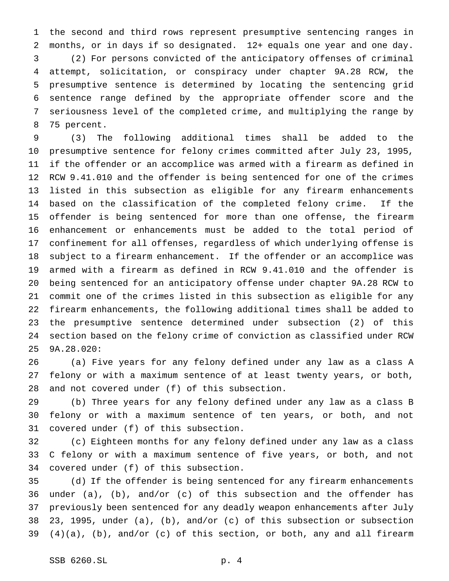the second and third rows represent presumptive sentencing ranges in months, or in days if so designated. 12+ equals one year and one day. (2) For persons convicted of the anticipatory offenses of criminal attempt, solicitation, or conspiracy under chapter 9A.28 RCW, the presumptive sentence is determined by locating the sentencing grid sentence range defined by the appropriate offender score and the seriousness level of the completed crime, and multiplying the range by 75 percent.

 (3) The following additional times shall be added to the presumptive sentence for felony crimes committed after July 23, 1995, if the offender or an accomplice was armed with a firearm as defined in RCW 9.41.010 and the offender is being sentenced for one of the crimes listed in this subsection as eligible for any firearm enhancements based on the classification of the completed felony crime. If the offender is being sentenced for more than one offense, the firearm enhancement or enhancements must be added to the total period of confinement for all offenses, regardless of which underlying offense is subject to a firearm enhancement. If the offender or an accomplice was armed with a firearm as defined in RCW 9.41.010 and the offender is being sentenced for an anticipatory offense under chapter 9A.28 RCW to commit one of the crimes listed in this subsection as eligible for any firearm enhancements, the following additional times shall be added to the presumptive sentence determined under subsection (2) of this section based on the felony crime of conviction as classified under RCW 9A.28.020:

 (a) Five years for any felony defined under any law as a class A felony or with a maximum sentence of at least twenty years, or both, and not covered under (f) of this subsection.

 (b) Three years for any felony defined under any law as a class B felony or with a maximum sentence of ten years, or both, and not covered under (f) of this subsection.

 (c) Eighteen months for any felony defined under any law as a class C felony or with a maximum sentence of five years, or both, and not covered under (f) of this subsection.

 (d) If the offender is being sentenced for any firearm enhancements under (a), (b), and/or (c) of this subsection and the offender has previously been sentenced for any deadly weapon enhancements after July 23, 1995, under (a), (b), and/or (c) of this subsection or subsection  $(4)(a)$ ,  $(b)$ , and/or  $(c)$  of this section, or both, any and all firearm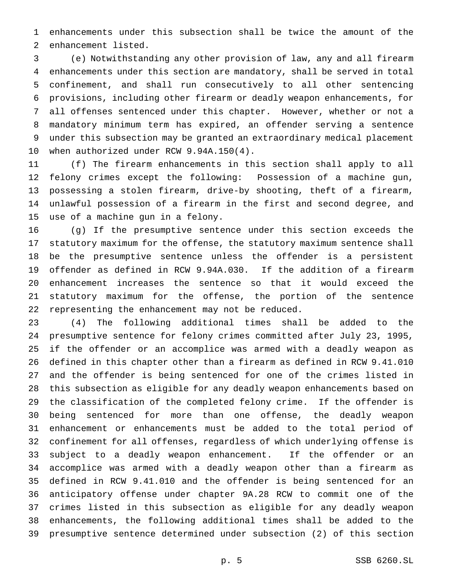enhancements under this subsection shall be twice the amount of the enhancement listed.

 (e) Notwithstanding any other provision of law, any and all firearm enhancements under this section are mandatory, shall be served in total confinement, and shall run consecutively to all other sentencing provisions, including other firearm or deadly weapon enhancements, for all offenses sentenced under this chapter. However, whether or not a mandatory minimum term has expired, an offender serving a sentence under this subsection may be granted an extraordinary medical placement when authorized under RCW 9.94A.150(4).

 (f) The firearm enhancements in this section shall apply to all felony crimes except the following: Possession of a machine gun, possessing a stolen firearm, drive-by shooting, theft of a firearm, unlawful possession of a firearm in the first and second degree, and use of a machine gun in a felony.

 (g) If the presumptive sentence under this section exceeds the statutory maximum for the offense, the statutory maximum sentence shall be the presumptive sentence unless the offender is a persistent offender as defined in RCW 9.94A.030. If the addition of a firearm enhancement increases the sentence so that it would exceed the statutory maximum for the offense, the portion of the sentence representing the enhancement may not be reduced.

 (4) The following additional times shall be added to the presumptive sentence for felony crimes committed after July 23, 1995, if the offender or an accomplice was armed with a deadly weapon as defined in this chapter other than a firearm as defined in RCW 9.41.010 and the offender is being sentenced for one of the crimes listed in this subsection as eligible for any deadly weapon enhancements based on the classification of the completed felony crime. If the offender is being sentenced for more than one offense, the deadly weapon enhancement or enhancements must be added to the total period of confinement for all offenses, regardless of which underlying offense is subject to a deadly weapon enhancement. If the offender or an accomplice was armed with a deadly weapon other than a firearm as defined in RCW 9.41.010 and the offender is being sentenced for an anticipatory offense under chapter 9A.28 RCW to commit one of the crimes listed in this subsection as eligible for any deadly weapon enhancements, the following additional times shall be added to the presumptive sentence determined under subsection (2) of this section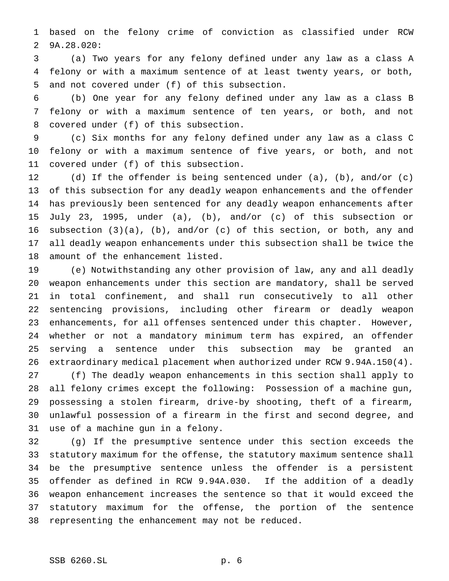based on the felony crime of conviction as classified under RCW 9A.28.020:

 (a) Two years for any felony defined under any law as a class A felony or with a maximum sentence of at least twenty years, or both, and not covered under (f) of this subsection.

 (b) One year for any felony defined under any law as a class B felony or with a maximum sentence of ten years, or both, and not covered under (f) of this subsection.

 (c) Six months for any felony defined under any law as a class C felony or with a maximum sentence of five years, or both, and not covered under (f) of this subsection.

 (d) If the offender is being sentenced under (a), (b), and/or (c) of this subsection for any deadly weapon enhancements and the offender has previously been sentenced for any deadly weapon enhancements after July 23, 1995, under (a), (b), and/or (c) of this subsection or subsection (3)(a), (b), and/or (c) of this section, or both, any and all deadly weapon enhancements under this subsection shall be twice the amount of the enhancement listed.

 (e) Notwithstanding any other provision of law, any and all deadly weapon enhancements under this section are mandatory, shall be served in total confinement, and shall run consecutively to all other sentencing provisions, including other firearm or deadly weapon enhancements, for all offenses sentenced under this chapter. However, whether or not a mandatory minimum term has expired, an offender serving a sentence under this subsection may be granted an extraordinary medical placement when authorized under RCW 9.94A.150(4). (f) The deadly weapon enhancements in this section shall apply to all felony crimes except the following: Possession of a machine gun, possessing a stolen firearm, drive-by shooting, theft of a firearm, unlawful possession of a firearm in the first and second degree, and use of a machine gun in a felony.

 (g) If the presumptive sentence under this section exceeds the statutory maximum for the offense, the statutory maximum sentence shall be the presumptive sentence unless the offender is a persistent offender as defined in RCW 9.94A.030. If the addition of a deadly weapon enhancement increases the sentence so that it would exceed the statutory maximum for the offense, the portion of the sentence representing the enhancement may not be reduced.